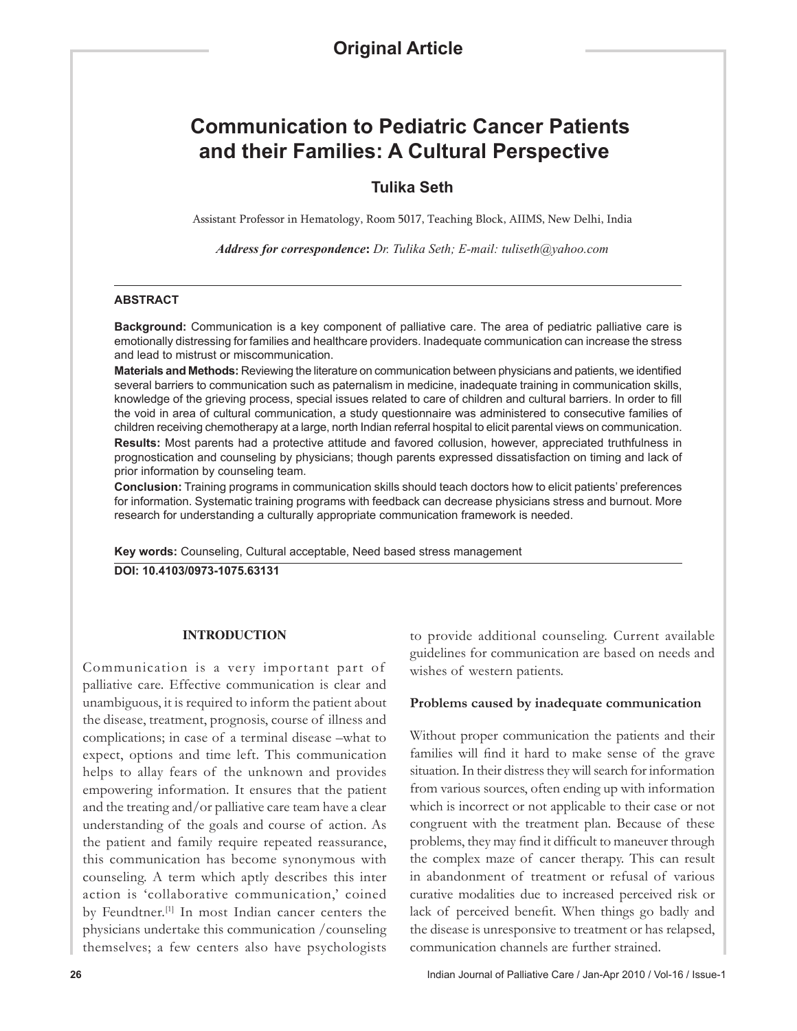# **Communication to Pediatric Cancer Patients and their Families: A Cultural Perspective**

# **Tulika Seth**

Assistant Professor in Hematology, Room 5017, Teaching Block, AIIMS, New Delhi, India

*Address for correspondence***:** *Dr. Tulika Seth; E-mail: tuliseth@yahoo.com*

#### **ABSTRACT**

**Background:** Communication is a key component of palliative care. The area of pediatric palliative care is emotionally distressing for families and healthcare providers. Inadequate communication can increase the stress and lead to mistrust or miscommunication.

**Materials and Methods:** Reviewing the literature on communication between physicians and patients, we identified several barriers to communication such as paternalism in medicine, inadequate training in communication skills, knowledge of the grieving process, special issues related to care of children and cultural barriers. In order to fill the void in area of cultural communication, a study questionnaire was administered to consecutive families of children receiving chemotherapy at a large, north Indian referral hospital to elicit parental views on communication. **Results:** Most parents had a protective attitude and favored collusion, however, appreciated truthfulness in prognostication and counseling by physicians; though parents expressed dissatisfaction on timing and lack of prior information by counseling team.

**Conclusion:** Training programs in communication skills should teach doctors how to elicit patients' preferences for information. Systematic training programs with feedback can decrease physicians stress and burnout. More research for understanding a culturally appropriate communication framework is needed.

**Key words:** Counseling, Cultural acceptable, Need based stress management

**DOI: 10.4103/0973-1075.63131**

#### **INTRODUCTION**

Communication is a very important part of palliative care. Effective communication is clear and unambiguous, it is required to inform the patient about the disease, treatment, prognosis, course of illness and complications; in case of a terminal disease –what to expect, options and time left. This communication helps to allay fears of the unknown and provides empowering information. It ensures that the patient and the treating and/or palliative care team have a clear understanding of the goals and course of action. As the patient and family require repeated reassurance, this communication has become synonymous with counseling. A term which aptly describes this inter action is 'collaborative communication,' coined by Feundtner.<sup>[1]</sup> In most Indian cancer centers the physicians undertake this communication /counseling themselves; a few centers also have psychologists

to provide additional counseling. Current available guidelines for communication are based on needs and wishes of western patients.

#### **Problems caused by inadequate communication**

Without proper communication the patients and their families will find it hard to make sense of the grave situation. In their distress they will search for information from various sources, often ending up with information which is incorrect or not applicable to their case or not congruent with the treatment plan. Because of these problems, they may find it difficult to maneuver through the complex maze of cancer therapy. This can result in abandonment of treatment or refusal of various curative modalities due to increased perceived risk or lack of perceived benefit. When things go badly and the disease is unresponsive to treatment or has relapsed, communication channels are further strained.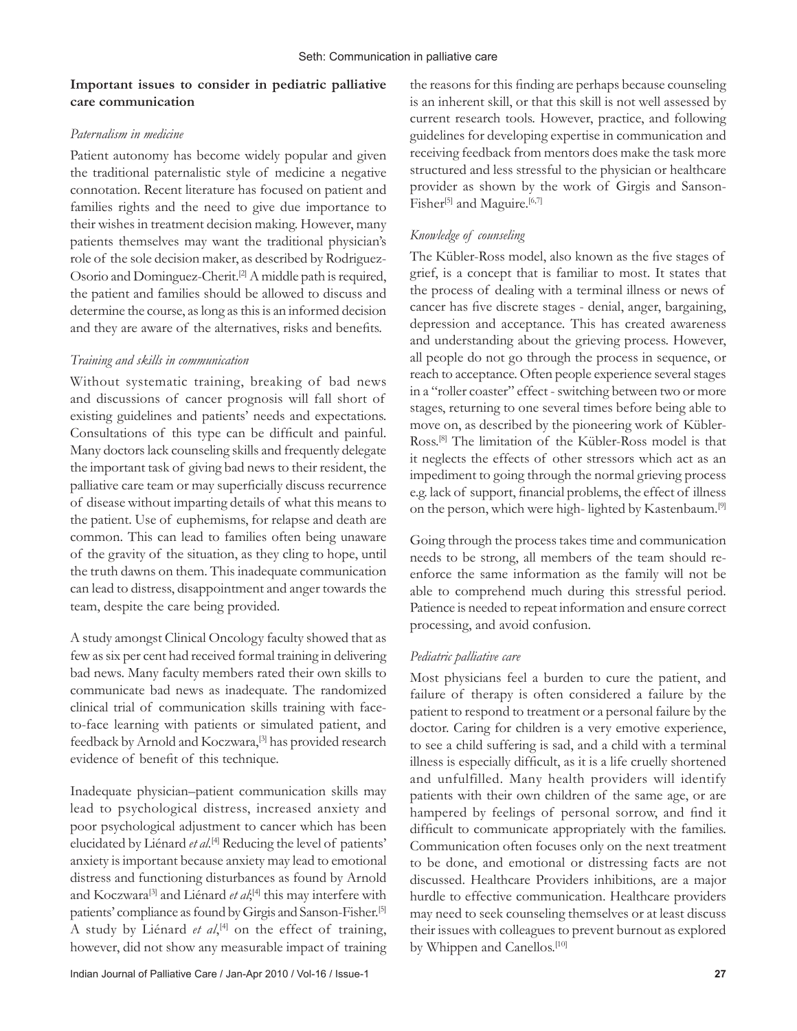# **Important issues to consider in pediatric palliative care communication**

### *Paternalism in medicine*

Patient autonomy has become widely popular and given the traditional paternalistic style of medicine a negative connotation. Recent literature has focused on patient and families rights and the need to give due importance to their wishes in treatment decision making. However, many patients themselves may want the traditional physician's role of the sole decision maker, as described by Rodriguez-Osorio and Dominguez-Cherit.[2] A middle path is required, the patient and families should be allowed to discuss and determine the course, as long as this is an informed decision and they are aware of the alternatives, risks and benefits.

# *Training and skills in communication*

Without systematic training, breaking of bad news and discussions of cancer prognosis will fall short of existing guidelines and patients' needs and expectations. Consultations of this type can be difficult and painful. Many doctors lack counseling skills and frequently delegate the important task of giving bad news to their resident, the palliative care team or may superficially discuss recurrence of disease without imparting details of what this means to the patient. Use of euphemisms, for relapse and death are common. This can lead to families often being unaware of the gravity of the situation, as they cling to hope, until the truth dawns on them. This inadequate communication can lead to distress, disappointment and anger towards the team, despite the care being provided.

A study amongst Clinical Oncology faculty showed that as few as six per cent had received formal training in delivering bad news. Many faculty members rated their own skills to communicate bad news as inadequate. The randomized clinical trial of communication skills training with faceto-face learning with patients or simulated patient, and feedback by Arnold and Koczwara,<sup>[3]</sup> has provided research evidence of benefit of this technique.

Inadequate physician–patient communication skills may lead to psychological distress, increased anxiety and poor psychological adjustment to cancer which has been elucidated by Liénard *et al*. [4] Reducing the level of patients' anxiety is important because anxiety may lead to emotional distress and functioning disturbances as found by Arnold and Koczwara<sup>[3]</sup> and Liénard *et al*;<sup>[4]</sup> this may interfere with patients' compliance as found by Girgis and Sanson-Fisher.[5] A study by Liénard et al,<sup>[4]</sup> on the effect of training, however, did not show any measurable impact of training

the reasons for this finding are perhaps because counseling is an inherent skill, or that this skill is not well assessed by current research tools. However, practice, and following guidelines for developing expertise in communication and receiving feedback from mentors does make the task more structured and less stressful to the physician or healthcare provider as shown by the work of Girgis and Sanson-Fisher<sup>[5]</sup> and Maguire.<sup>[6,7]</sup>

# *Knowledge of counseling*

The Kübler-Ross model, also known as the five stages of grief, is a concept that is familiar to most. It states that the process of dealing with a terminal illness or news of cancer has five discrete stages - denial, anger, bargaining, depression and acceptance. This has created awareness and understanding about the grieving process. However, all people do not go through the process in sequence, or reach to acceptance. Often people experience several stages in a "roller coaster" effect - switching between two or more stages, returning to one several times before being able to move on, as described by the pioneering work of Kübler-Ross.[8] The limitation of the Kübler-Ross model is that it neglects the effects of other stressors which act as an impediment to going through the normal grieving process e.g. lack of support, financial problems, the effect of illness on the person, which were high- lighted by Kastenbaum.[9]

Going through the process takes time and communication needs to be strong, all members of the team should reenforce the same information as the family will not be able to comprehend much during this stressful period. Patience is needed to repeat information and ensure correct processing, and avoid confusion.

#### *Pediatric palliative care*

Most physicians feel a burden to cure the patient, and failure of therapy is often considered a failure by the patient to respond to treatment or a personal failure by the doctor. Caring for children is a very emotive experience, to see a child suffering is sad, and a child with a terminal illness is especially difficult, as it is a life cruelly shortened and unfulfilled. Many health providers will identify patients with their own children of the same age, or are hampered by feelings of personal sorrow, and find it difficult to communicate appropriately with the families. Communication often focuses only on the next treatment to be done, and emotional or distressing facts are not discussed. Healthcare Providers inhibitions, are a major hurdle to effective communication. Healthcare providers may need to seek counseling themselves or at least discuss their issues with colleagues to prevent burnout as explored by Whippen and Canellos.<sup>[10]</sup>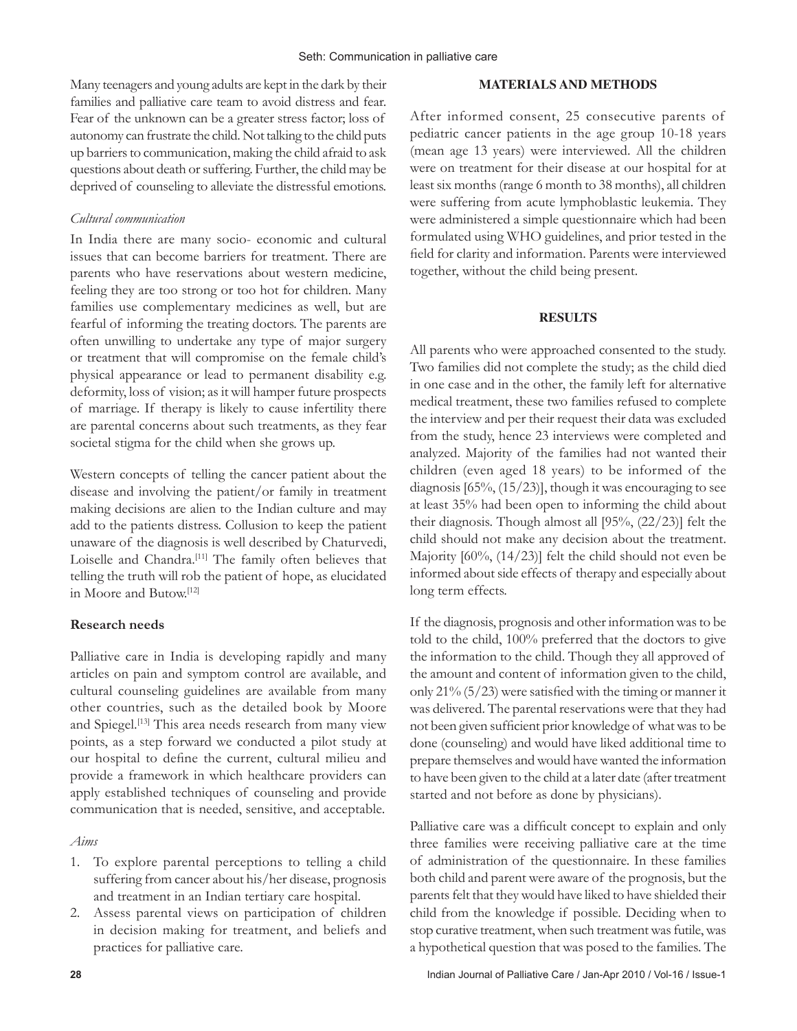Many teenagers and young adults are kept in the dark by their families and palliative care team to avoid distress and fear. Fear of the unknown can be a greater stress factor; loss of autonomy can frustrate the child. Not talking to the child puts up barriers to communication, making the child afraid to ask questions about death or suffering. Further, the child may be deprived of counseling to alleviate the distressful emotions.

#### *Cultural communication*

In India there are many socio- economic and cultural issues that can become barriers for treatment. There are parents who have reservations about western medicine, feeling they are too strong or too hot for children. Many families use complementary medicines as well, but are fearful of informing the treating doctors. The parents are often unwilling to undertake any type of major surgery or treatment that will compromise on the female child's physical appearance or lead to permanent disability e.g. deformity, loss of vision; as it will hamper future prospects of marriage. If therapy is likely to cause infertility there are parental concerns about such treatments, as they fear societal stigma for the child when she grows up.

Western concepts of telling the cancer patient about the disease and involving the patient/or family in treatment making decisions are alien to the Indian culture and may add to the patients distress. Collusion to keep the patient unaware of the diagnosis is well described by Chaturvedi, Loiselle and Chandra.<sup>[11]</sup> The family often believes that telling the truth will rob the patient of hope, as elucidated in Moore and Butow.[12]

#### **Research needs**

Palliative care in India is developing rapidly and many articles on pain and symptom control are available, and cultural counseling guidelines are available from many other countries, such as the detailed book by Moore and Spiegel.<sup>[13]</sup> This area needs research from many view points, as a step forward we conducted a pilot study at our hospital to define the current, cultural milieu and provide a framework in which healthcare providers can apply established techniques of counseling and provide communication that is needed, sensitive, and acceptable.

#### *Aims*

- 1. To explore parental perceptions to telling a child suffering from cancer about his/her disease, prognosis and treatment in an Indian tertiary care hospital.
- 2. Assess parental views on participation of children in decision making for treatment, and beliefs and practices for palliative care.

#### **MATERIALS AND METHODS**

After informed consent, 25 consecutive parents of pediatric cancer patients in the age group 10-18 years (mean age 13 years) were interviewed. All the children were on treatment for their disease at our hospital for at least six months (range 6 month to 38 months), all children were suffering from acute lymphoblastic leukemia. They were administered a simple questionnaire which had been formulated using WHO guidelines, and prior tested in the field for clarity and information. Parents were interviewed together, without the child being present.

#### **RESULTS**

All parents who were approached consented to the study. Two families did not complete the study; as the child died in one case and in the other, the family left for alternative medical treatment, these two families refused to complete the interview and per their request their data was excluded from the study, hence 23 interviews were completed and analyzed. Majority of the families had not wanted their children (even aged 18 years) to be informed of the diagnosis [65%, (15/23)], though it was encouraging to see at least 35% had been open to informing the child about their diagnosis. Though almost all [95%, (22/23)] felt the child should not make any decision about the treatment. Majority [60%, (14/23)] felt the child should not even be informed about side effects of therapy and especially about long term effects.

If the diagnosis, prognosis and other information was to be told to the child, 100% preferred that the doctors to give the information to the child. Though they all approved of the amount and content of information given to the child, only 21% (5/23) were satisfied with the timing or manner it was delivered. The parental reservations were that they had not been given sufficient prior knowledge of what was to be done (counseling) and would have liked additional time to prepare themselves and would have wanted the information to have been given to the child at a later date (after treatment started and not before as done by physicians).

Palliative care was a difficult concept to explain and only three families were receiving palliative care at the time of administration of the questionnaire. In these families both child and parent were aware of the prognosis, but the parents felt that they would have liked to have shielded their child from the knowledge if possible. Deciding when to stop curative treatment, when such treatment was futile, was a hypothetical question that was posed to the families. The